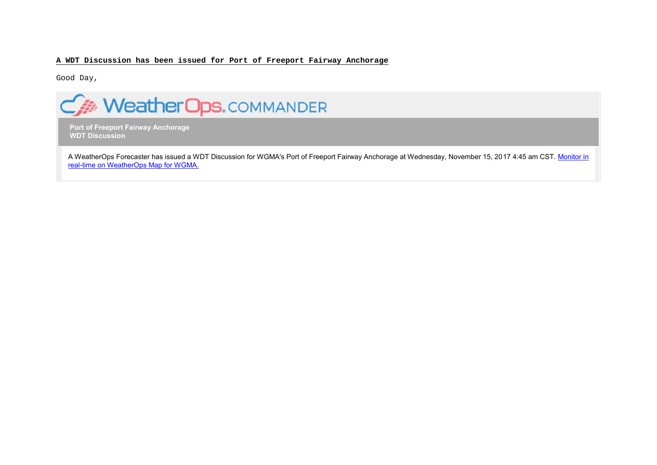# **A WDT Discussion has been issued for Port of Freeport Fairway Anchorage**

Good Day,



**Port of Freeport Fairway Anchorage WDT Discussion**

A WeatherOps Forecaster has issued a WDT Discussion for WGMA's Port of Freeport Fairway Anchorage at Wednesday, November 15, 2017 4:45 am CST. Monitor in real-time on WeatherOps Map for WGMA.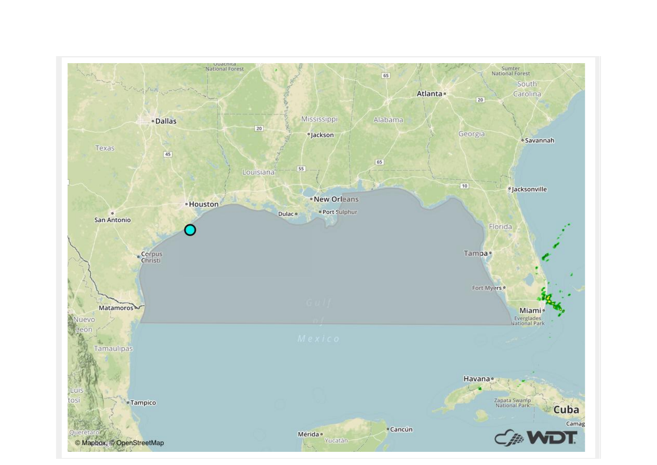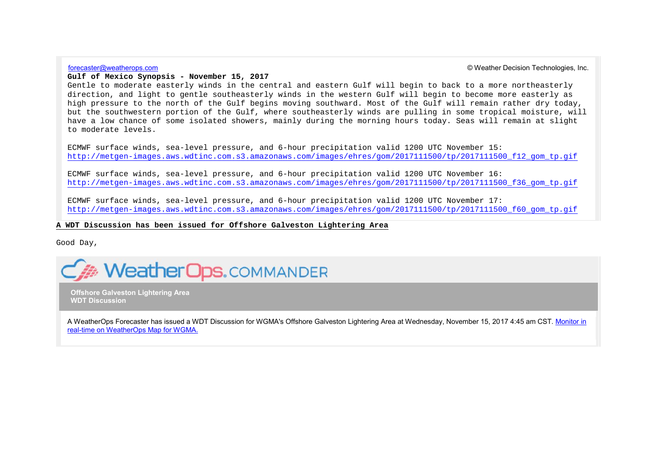### **Gulf of Mexico Synopsis - November 15, 2017**

Gentle to moderate easterly winds in the central and eastern Gulf will begin to back to a more northeasterly direction, and light to gentle southeasterly winds in the western Gulf will begin to become more easterly as high pressure to the north of the Gulf begins moving southward. Most of the Gulf will remain rather dry today, but the southwestern portion of the Gulf, where southeasterly winds are pulling in some tropical moisture, will have a low chance of some isolated showers, mainly during the morning hours today. Seas will remain at slight to moderate levels.

ECMWF surface winds, sea-level pressure, and 6-hour precipitation valid 1200 UTC November 15: http://metgen-images.aws.wdtinc.com.s3.amazonaws.com/images/ehres/gom/2017111500/tp/2017111500\_f12\_gom\_tp.gif

ECMWF surface winds, sea-level pressure, and 6-hour precipitation valid 1200 UTC November 16: http://metgen-images.aws.wdtinc.com.s3.amazonaws.com/images/ehres/gom/2017111500/tp/2017111500\_f36\_gom\_tp.gif

ECMWF surface winds, sea-level pressure, and 6-hour precipitation valid 1200 UTC November 17: http://metgen-images.aws.wdtinc.com.s3.amazonaws.com/images/ehres/gom/2017111500/tp/2017111500\_f60\_gom\_tp.gif

# **A WDT Discussion has been issued for Offshore Galveston Lightering Area**

Good Day,



**Offshore Galveston Lightering Area WDT Discussion**

A WeatherOps Forecaster has issued a WDT Discussion for WGMA's Offshore Galveston Lightering Area at Wednesday, November 15, 2017 4:45 am CST. Monitor in real-time on WeatherOps Map for WGMA.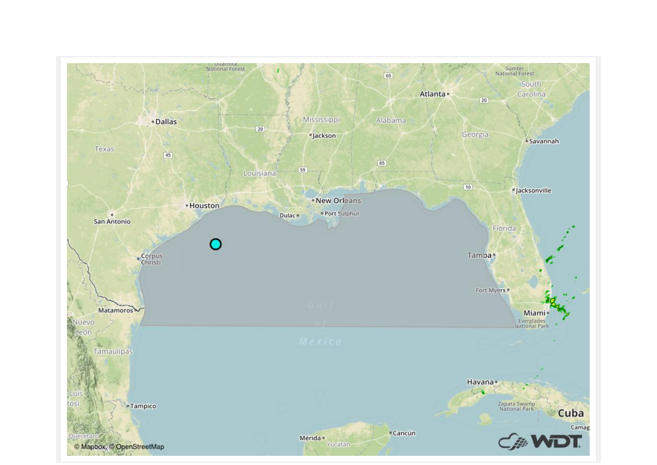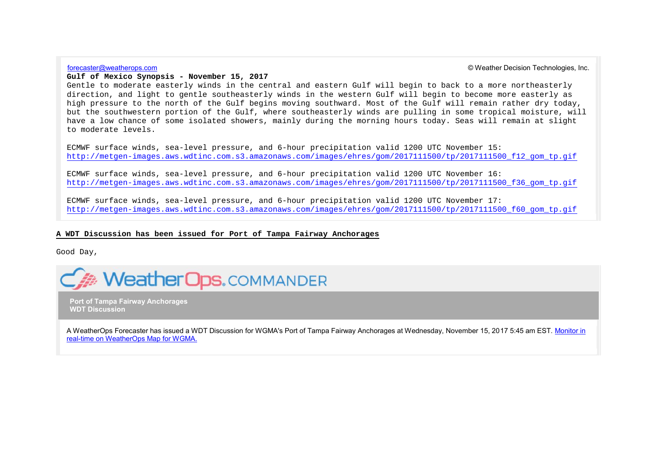# **Gulf of Mexico Synopsis - November 15, 2017**

Gentle to moderate easterly winds in the central and eastern Gulf will begin to back to a more northeasterly direction, and light to gentle southeasterly winds in the western Gulf will begin to become more easterly as high pressure to the north of the Gulf begins moving southward. Most of the Gulf will remain rather dry today, but the southwestern portion of the Gulf, where southeasterly winds are pulling in some tropical moisture, will have a low chance of some isolated showers, mainly during the morning hours today. Seas will remain at slight to moderate levels.

ECMWF surface winds, sea-level pressure, and 6-hour precipitation valid 1200 UTC November 15: http://metgen-images.aws.wdtinc.com.s3.amazonaws.com/images/ehres/gom/2017111500/tp/2017111500\_f12\_gom\_tp.gif

ECMWF surface winds, sea-level pressure, and 6-hour precipitation valid 1200 UTC November 16: http://metgen-images.aws.wdtinc.com.s3.amazonaws.com/images/ehres/gom/2017111500/tp/2017111500\_f36\_gom\_tp.gif

ECMWF surface winds, sea-level pressure, and 6-hour precipitation valid 1200 UTC November 17: http://metgen-images.aws.wdtinc.com.s3.amazonaws.com/images/ehres/gom/2017111500/tp/2017111500\_f60\_gom\_tp.gif

# **A WDT Discussion has been issued for Port of Tampa Fairway Anchorages**

Good Day,



**Port of Tampa Fairway Anchorages WDT Discussion**

A WeatherOps Forecaster has issued a WDT Discussion for WGMA's Port of Tampa Fairway Anchorages at Wednesday, November 15, 2017 5:45 am EST. Monitor in real-time on WeatherOps Map for WGMA.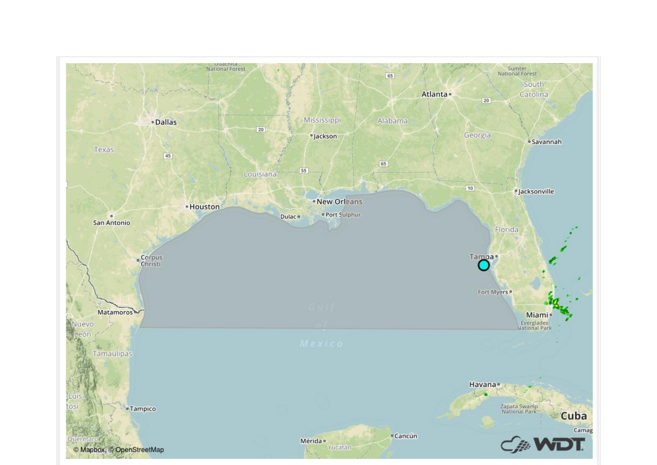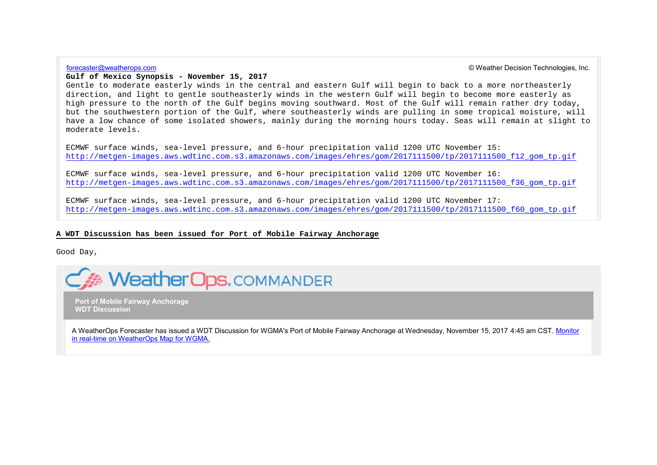# **Gulf of Mexico Synopsis - November 15, 2017**

Gentle to moderate easterly winds in the central and eastern Gulf will begin to back to a more northeasterly direction, and light to gentle southeasterly winds in the western Gulf will begin to become more easterly as high pressure to the north of the Gulf begins moving southward. Most of the Gulf will remain rather dry today, but the southwestern portion of the Gulf, where southeasterly winds are pulling in some tropical moisture, will have a low chance of some isolated showers, mainly during the morning hours today. Seas will remain at slight to moderate levels.

ECMWF surface winds, sea-level pressure, and 6-hour precipitation valid 1200 UTC November 15: http://metgen-images.aws.wdtinc.com.s3.amazonaws.com/images/ehres/gom/2017111500/tp/2017111500\_f12\_gom\_tp.gif

ECMWF surface winds, sea-level pressure, and 6-hour precipitation valid 1200 UTC November 16: http://metgen-images.aws.wdtinc.com.s3.amazonaws.com/images/ehres/gom/2017111500/tp/2017111500\_f36\_gom\_tp.gif

ECMWF surface winds, sea-level pressure, and 6-hour precipitation valid 1200 UTC November 17: http://metgen-images.aws.wdtinc.com.s3.amazonaws.com/images/ehres/gom/2017111500/tp/2017111500\_f60\_gom\_tp.gif

# **A WDT Discussion has been issued for Port of Mobile Fairway Anchorage**

Good Day,



**Port of Mobile Fairway Anchorage WDT Discussion**

A WeatherOps Forecaster has issued a WDT Discussion for WGMA's Port of Mobile Fairway Anchorage at Wednesday, November 15, 2017 4:45 am CST. Monitor in real-time on WeatherOps Map for WGMA.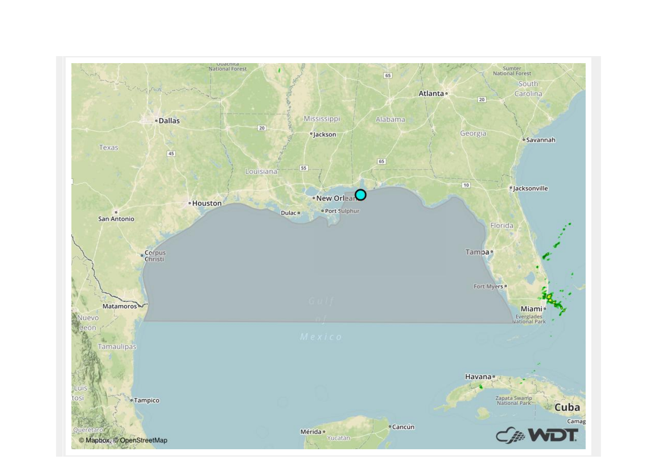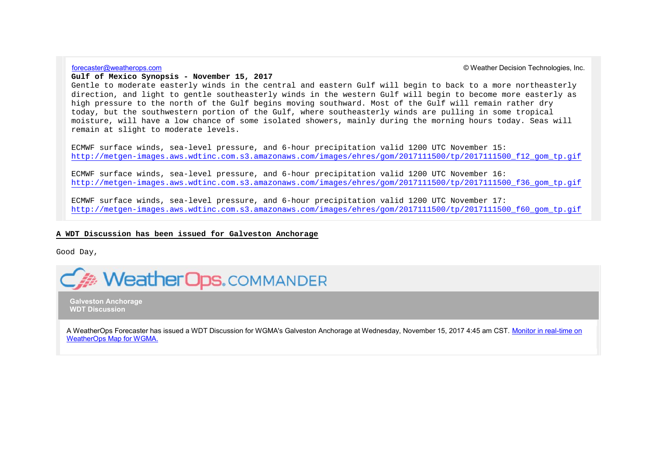### **Gulf of Mexico Synopsis - November 15, 2017**

Gentle to moderate easterly winds in the central and eastern Gulf will begin to back to a more northeasterly direction, and light to gentle southeasterly winds in the western Gulf will begin to become more easterly as high pressure to the north of the Gulf begins moving southward. Most of the Gulf will remain rather dry today, but the southwestern portion of the Gulf, where southeasterly winds are pulling in some tropical moisture, will have a low chance of some isolated showers, mainly during the morning hours today. Seas will remain at slight to moderate levels.

ECMWF surface winds, sea-level pressure, and 6-hour precipitation valid 1200 UTC November 15: http://metgen-images.aws.wdtinc.com.s3.amazonaws.com/images/ehres/gom/2017111500/tp/2017111500\_f12\_gom\_tp.gif

ECMWF surface winds, sea-level pressure, and 6-hour precipitation valid 1200 UTC November 16: http://metgen-images.aws.wdtinc.com.s3.amazonaws.com/images/ehres/gom/2017111500/tp/2017111500\_f36\_gom\_tp.gif

ECMWF surface winds, sea-level pressure, and 6-hour precipitation valid 1200 UTC November 17: http://metgen-images.aws.wdtinc.com.s3.amazonaws.com/images/ehres/gom/2017111500/tp/2017111500\_f60\_gom\_tp.gif

# **A WDT Discussion has been issued for Galveston Anchorage**

Good Day,



**Galveston Anchorage WDT Discussion**

A WeatherOps Forecaster has issued a WDT Discussion for WGMA's Galveston Anchorage at Wednesday, November 15, 2017 4:45 am CST. Monitor in real-time on WeatherOps Map for WGMA.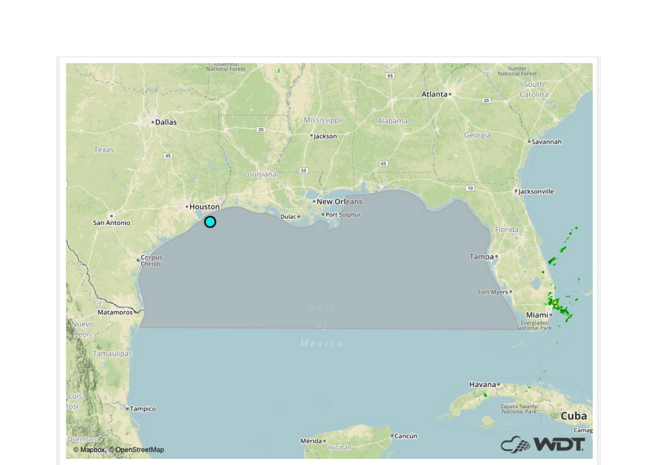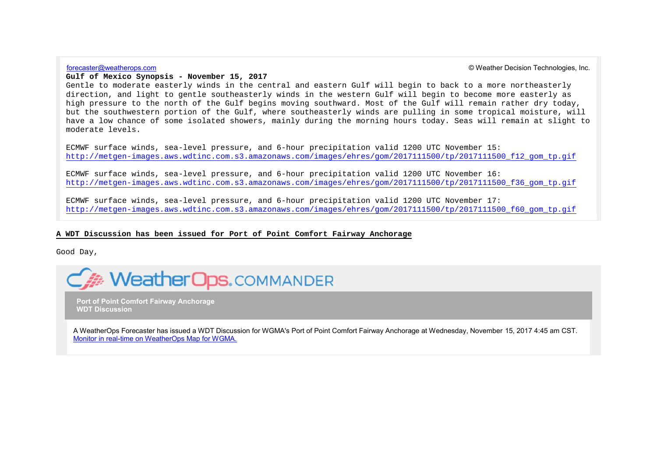### **Gulf of Mexico Synopsis - November 15, 2017**

Gentle to moderate easterly winds in the central and eastern Gulf will begin to back to a more northeasterly direction, and light to gentle southeasterly winds in the western Gulf will begin to become more easterly as high pressure to the north of the Gulf begins moving southward. Most of the Gulf will remain rather dry today, but the southwestern portion of the Gulf, where southeasterly winds are pulling in some tropical moisture, will have a low chance of some isolated showers, mainly during the morning hours today. Seas will remain at slight to moderate levels.

ECMWF surface winds, sea-level pressure, and 6-hour precipitation valid 1200 UTC November 15: http://metgen-images.aws.wdtinc.com.s3.amazonaws.com/images/ehres/gom/2017111500/tp/2017111500\_f12\_gom\_tp.gif

ECMWF surface winds, sea-level pressure, and 6-hour precipitation valid 1200 UTC November 16: http://metgen-images.aws.wdtinc.com.s3.amazonaws.com/images/ehres/gom/2017111500/tp/2017111500\_f36\_gom\_tp.gif

ECMWF surface winds, sea-level pressure, and 6-hour precipitation valid 1200 UTC November 17: http://metgen-images.aws.wdtinc.com.s3.amazonaws.com/images/ehres/gom/2017111500/tp/2017111500\_f60\_gom\_tp.gif

# **A WDT Discussion has been issued for Port of Point Comfort Fairway Anchorage**

Good Day,



**Port of Point Comfort Fairway Anchorage WDT Discussion**

A WeatherOps Forecaster has issued a WDT Discussion for WGMA's Port of Point Comfort Fairway Anchorage at Wednesday, November 15, 2017 4:45 am CST. Monitor in real-time on WeatherOps Map for WGMA.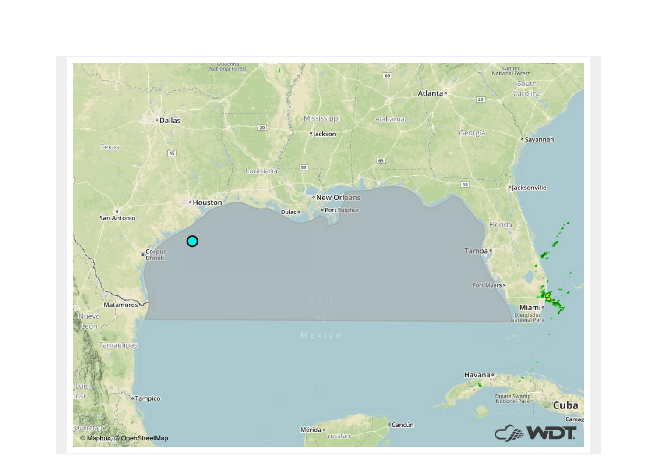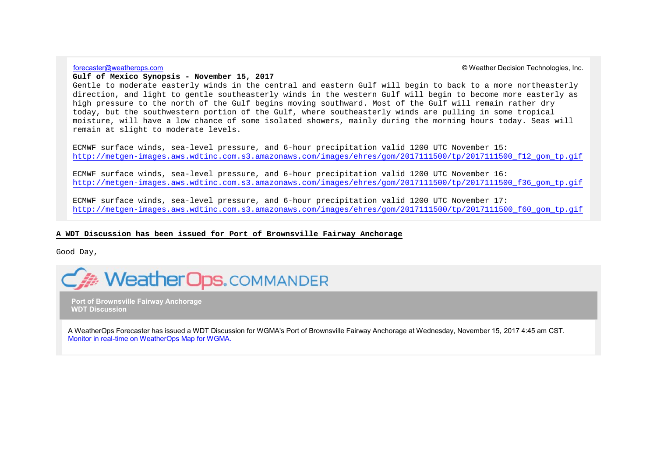### **Gulf of Mexico Synopsis - November 15, 2017**

Gentle to moderate easterly winds in the central and eastern Gulf will begin to back to a more northeasterly direction, and light to gentle southeasterly winds in the western Gulf will begin to become more easterly as high pressure to the north of the Gulf begins moving southward. Most of the Gulf will remain rather dry today, but the southwestern portion of the Gulf, where southeasterly winds are pulling in some tropical moisture, will have a low chance of some isolated showers, mainly during the morning hours today. Seas will remain at slight to moderate levels.

ECMWF surface winds, sea-level pressure, and 6-hour precipitation valid 1200 UTC November 15: http://metgen-images.aws.wdtinc.com.s3.amazonaws.com/images/ehres/gom/2017111500/tp/2017111500\_f12\_gom\_tp.gif

ECMWF surface winds, sea-level pressure, and 6-hour precipitation valid 1200 UTC November 16: http://metgen-images.aws.wdtinc.com.s3.amazonaws.com/images/ehres/gom/2017111500/tp/2017111500\_f36\_gom\_tp.gif

ECMWF surface winds, sea-level pressure, and 6-hour precipitation valid 1200 UTC November 17: http://metgen-images.aws.wdtinc.com.s3.amazonaws.com/images/ehres/gom/2017111500/tp/2017111500\_f60\_gom\_tp.gif

# **A WDT Discussion has been issued for Port of Brownsville Fairway Anchorage**

Good Day,



**Port of Brownsville Fairway Anchorage WDT Discussion**

A WeatherOps Forecaster has issued a WDT Discussion for WGMA's Port of Brownsville Fairway Anchorage at Wednesday, November 15, 2017 4:45 am CST. Monitor in real-time on WeatherOps Map for WGMA.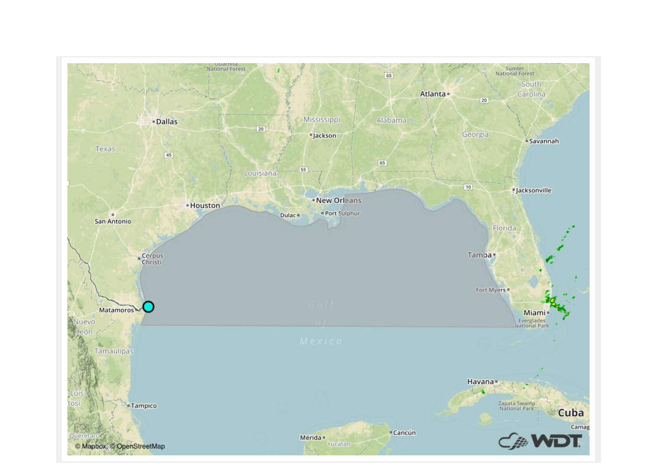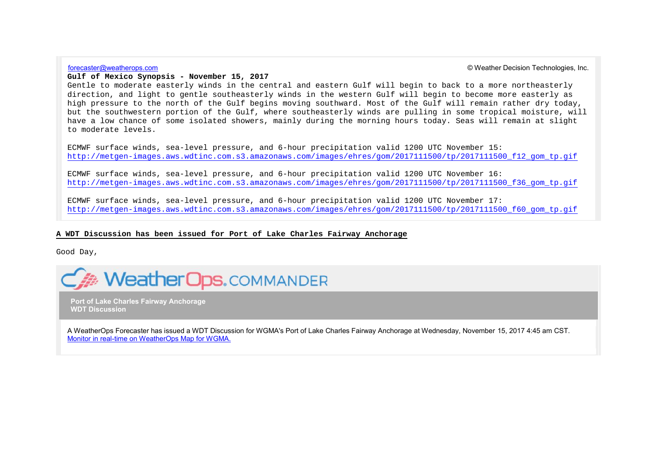### **Gulf of Mexico Synopsis - November 15, 2017**

Gentle to moderate easterly winds in the central and eastern Gulf will begin to back to a more northeasterly direction, and light to gentle southeasterly winds in the western Gulf will begin to become more easterly as high pressure to the north of the Gulf begins moving southward. Most of the Gulf will remain rather dry today, but the southwestern portion of the Gulf, where southeasterly winds are pulling in some tropical moisture, will have a low chance of some isolated showers, mainly during the morning hours today. Seas will remain at slight to moderate levels.

ECMWF surface winds, sea-level pressure, and 6-hour precipitation valid 1200 UTC November 15: http://metgen-images.aws.wdtinc.com.s3.amazonaws.com/images/ehres/gom/2017111500/tp/2017111500\_f12\_gom\_tp.gif

ECMWF surface winds, sea-level pressure, and 6-hour precipitation valid 1200 UTC November 16: http://metgen-images.aws.wdtinc.com.s3.amazonaws.com/images/ehres/gom/2017111500/tp/2017111500\_f36\_gom\_tp.gif

ECMWF surface winds, sea-level pressure, and 6-hour precipitation valid 1200 UTC November 17: http://metgen-images.aws.wdtinc.com.s3.amazonaws.com/images/ehres/gom/2017111500/tp/2017111500\_f60\_gom\_tp.gif

# **A WDT Discussion has been issued for Port of Lake Charles Fairway Anchorage**

Good Day,



**Port of Lake Charles Fairway Anchorage WDT Discussion**

A WeatherOps Forecaster has issued a WDT Discussion for WGMA's Port of Lake Charles Fairway Anchorage at Wednesday, November 15, 2017 4:45 am CST. Monitor in real-time on WeatherOps Map for WGMA.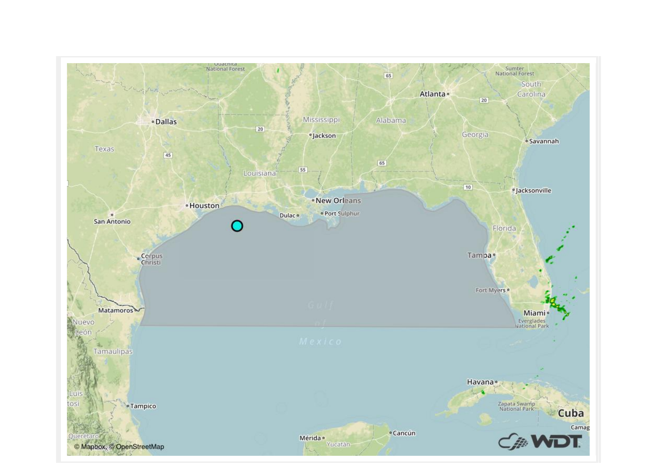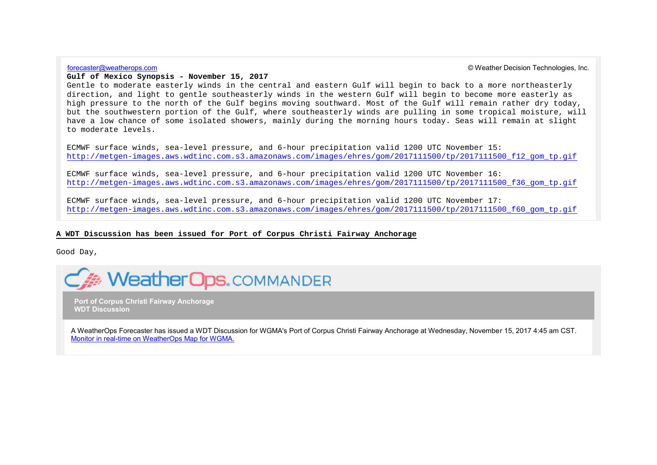# **Gulf of Mexico Synopsis - November 15, 2017**

Gentle to moderate easterly winds in the central and eastern Gulf will begin to back to a more northeasterly direction, and light to gentle southeasterly winds in the western Gulf will begin to become more easterly as high pressure to the north of the Gulf begins moving southward. Most of the Gulf will remain rather dry today, but the southwestern portion of the Gulf, where southeasterly winds are pulling in some tropical moisture, will have a low chance of some isolated showers, mainly during the morning hours today. Seas will remain at slight to moderate levels.

ECMWF surface winds, sea-level pressure, and 6-hour precipitation valid 1200 UTC November 15: http://metgen-images.aws.wdtinc.com.s3.amazonaws.com/images/ehres/gom/2017111500/tp/2017111500\_f12\_gom\_tp.gif

ECMWF surface winds, sea-level pressure, and 6-hour precipitation valid 1200 UTC November 16: http://metgen-images.aws.wdtinc.com.s3.amazonaws.com/images/ehres/gom/2017111500/tp/2017111500\_f36\_gom\_tp.gif

ECMWF surface winds, sea-level pressure, and 6-hour precipitation valid 1200 UTC November 17: http://metgen-images.aws.wdtinc.com.s3.amazonaws.com/images/ehres/gom/2017111500/tp/2017111500\_f60\_gom\_tp.gif

# **A WDT Discussion has been issued for Port of Corpus Christi Fairway Anchorage**

Good Day,



**Port of Corpus Christi Fairway Anchorage WDT Discussion**

A WeatherOps Forecaster has issued a WDT Discussion for WGMA's Port of Corpus Christi Fairway Anchorage at Wednesday, November 15, 2017 4:45 am CST. Monitor in real-time on WeatherOps Map for WGMA.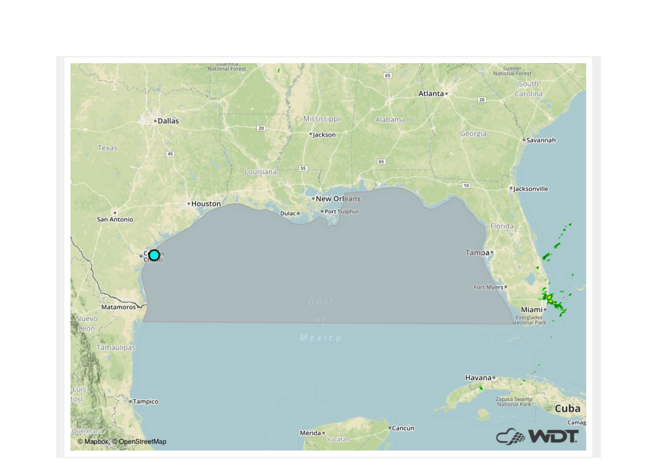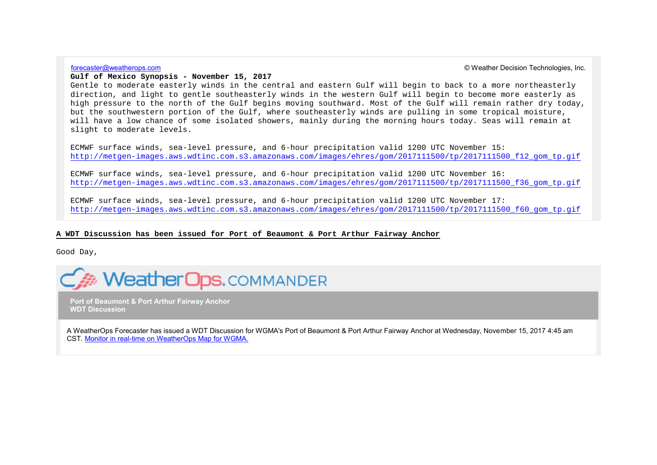### **Gulf of Mexico Synopsis - November 15, 2017**

Gentle to moderate easterly winds in the central and eastern Gulf will begin to back to a more northeasterly direction, and light to gentle southeasterly winds in the western Gulf will begin to become more easterly as high pressure to the north of the Gulf begins moving southward. Most of the Gulf will remain rather dry today, but the southwestern portion of the Gulf, where southeasterly winds are pulling in some tropical moisture, will have a low chance of some isolated showers, mainly during the morning hours today. Seas will remain at slight to moderate levels.

ECMWF surface winds, sea-level pressure, and 6-hour precipitation valid 1200 UTC November 15: http://metgen-images.aws.wdtinc.com.s3.amazonaws.com/images/ehres/gom/2017111500/tp/2017111500\_f12\_gom\_tp.gif

ECMWF surface winds, sea-level pressure, and 6-hour precipitation valid 1200 UTC November 16: http://metgen-images.aws.wdtinc.com.s3.amazonaws.com/images/ehres/gom/2017111500/tp/2017111500\_f36\_gom\_tp.gif

ECMWF surface winds, sea-level pressure, and 6-hour precipitation valid 1200 UTC November 17: http://metgen-images.aws.wdtinc.com.s3.amazonaws.com/images/ehres/gom/2017111500/tp/2017111500\_f60\_gom\_tp.gif

# **A WDT Discussion has been issued for Port of Beaumont & Port Arthur Fairway Anchor**

Good Day,



**Port of Beaumont & Port Arthur Fairway Anchor WDT Discussion**

A WeatherOps Forecaster has issued a WDT Discussion for WGMA's Port of Beaumont & Port Arthur Fairway Anchor at Wednesday, November 15, 2017 4:45 am CST. Monitor in real-time on WeatherOps Map for WGMA.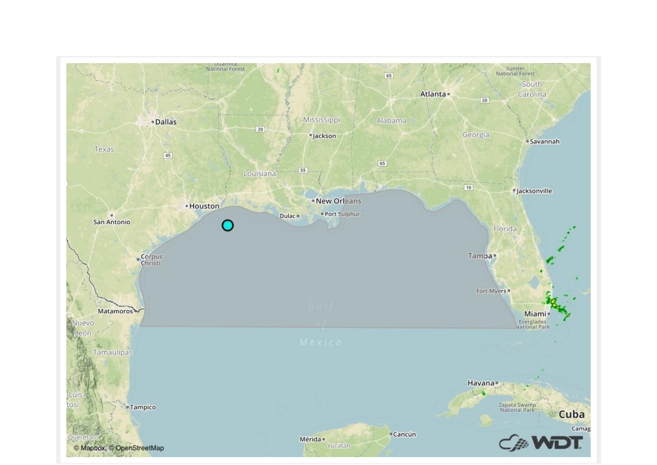